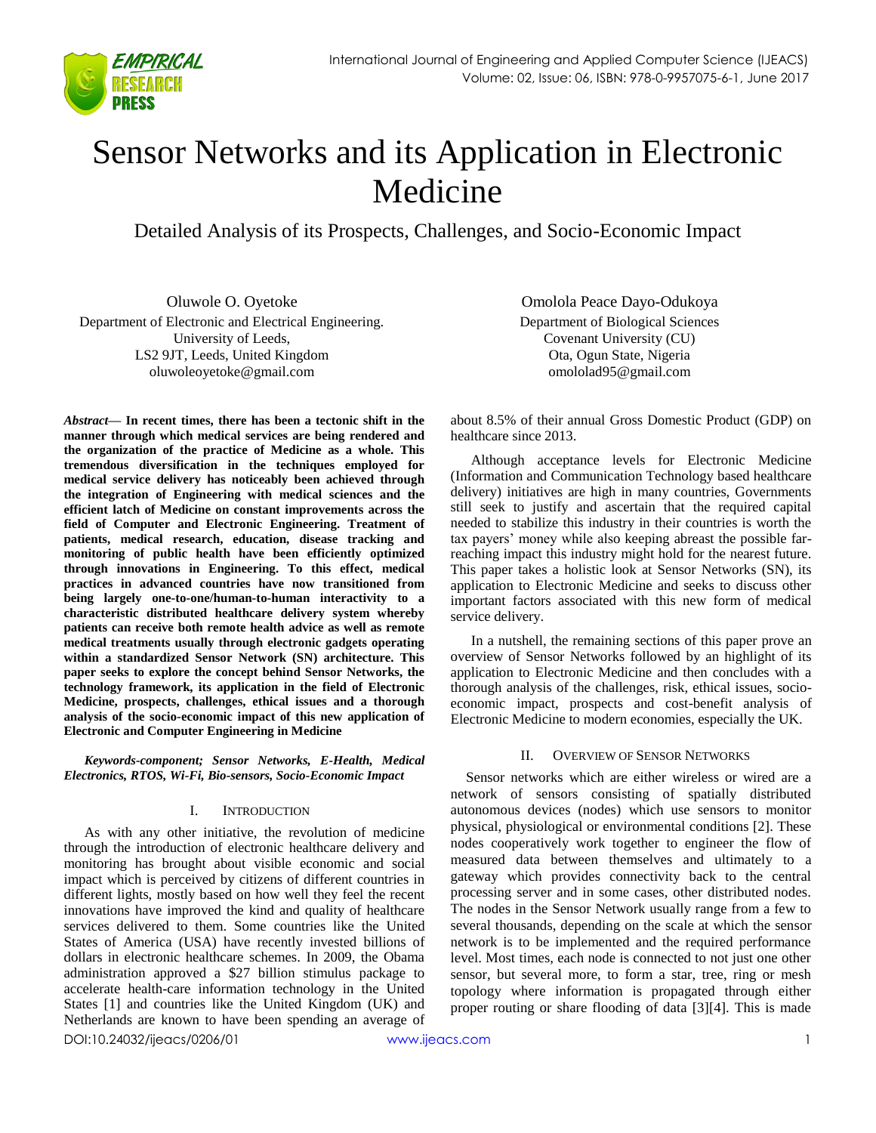

# Sensor Networks and its Application in Electronic Medicine

Detailed Analysis of its Prospects, Challenges, and Socio-Economic Impact

Oluwole O. Oyetoke Department of Electronic and Electrical Engineering. University of Leeds, LS2 9JT, Leeds, United Kingdom oluwoleoyetoke@gmail.com

*Abstract***— In recent times, there has been a tectonic shift in the manner through which medical services are being rendered and the organization of the practice of Medicine as a whole. This tremendous diversification in the techniques employed for medical service delivery has noticeably been achieved through the integration of Engineering with medical sciences and the efficient latch of Medicine on constant improvements across the field of Computer and Electronic Engineering. Treatment of patients, medical research, education, disease tracking and monitoring of public health have been efficiently optimized through innovations in Engineering. To this effect, medical practices in advanced countries have now transitioned from being largely one-to-one/human-to-human interactivity to a characteristic distributed healthcare delivery system whereby patients can receive both remote health advice as well as remote medical treatments usually through electronic gadgets operating within a standardized Sensor Network (SN) architecture. This paper seeks to explore the concept behind Sensor Networks, the technology framework, its application in the field of Electronic Medicine, prospects, challenges, ethical issues and a thorough analysis of the socio-economic impact of this new application of Electronic and Computer Engineering in Medicine**

*Keywords-component; Sensor Networks, E-Health, Medical Electronics, RTOS, Wi-Fi, Bio-sensors, Socio-Economic Impact*

#### I. INTRODUCTION

As with any other initiative, the revolution of medicine through the introduction of electronic healthcare delivery and monitoring has brought about visible economic and social impact which is perceived by citizens of different countries in different lights, mostly based on how well they feel the recent innovations have improved the kind and quality of healthcare services delivered to them. Some countries like the United States of America (USA) have recently invested billions of dollars in electronic healthcare schemes. In 2009, the Obama administration approved a \$27 billion stimulus package to accelerate health-care information technology in the United States [1] and countries like the United Kingdom (UK) and Netherlands are known to have been spending an average of

Omolola Peace Dayo-Odukoya Department of Biological Sciences Covenant University (CU) Ota, Ogun State, Nigeria omololad95@gmail.com

about 8.5% of their annual Gross Domestic Product (GDP) on healthcare since 2013.

Although acceptance levels for Electronic Medicine (Information and Communication Technology based healthcare delivery) initiatives are high in many countries, Governments still seek to justify and ascertain that the required capital needed to stabilize this industry in their countries is worth the tax payers' money while also keeping abreast the possible farreaching impact this industry might hold for the nearest future. This paper takes a holistic look at Sensor Networks (SN), its application to Electronic Medicine and seeks to discuss other important factors associated with this new form of medical service delivery.

In a nutshell, the remaining sections of this paper prove an overview of Sensor Networks followed by an highlight of its application to Electronic Medicine and then concludes with a thorough analysis of the challenges, risk, ethical issues, socioeconomic impact, prospects and cost-benefit analysis of Electronic Medicine to modern economies, especially the UK.

#### II. OVERVIEW OF SENSOR NETWORKS

Sensor networks which are either wireless or wired are a network of sensors consisting of spatially distributed autonomous devices (nodes) which use sensors to monitor physical, physiological or environmental conditions [2]. These nodes cooperatively work together to engineer the flow of measured data between themselves and ultimately to a gateway which provides connectivity back to the central processing server and in some cases, other distributed nodes. The nodes in the Sensor Network usually range from a few to several thousands, depending on the scale at which the sensor network is to be implemented and the required performance level. Most times, each node is connected to not just one other sensor, but several more, to form a star, tree, ring or mesh topology where information is propagated through either proper routing or share flooding of data [3][4]. This is made

DOI:10.24032/ijeacs/0206/01 [www.ijeacs.com](http://ijeacs.com/) 1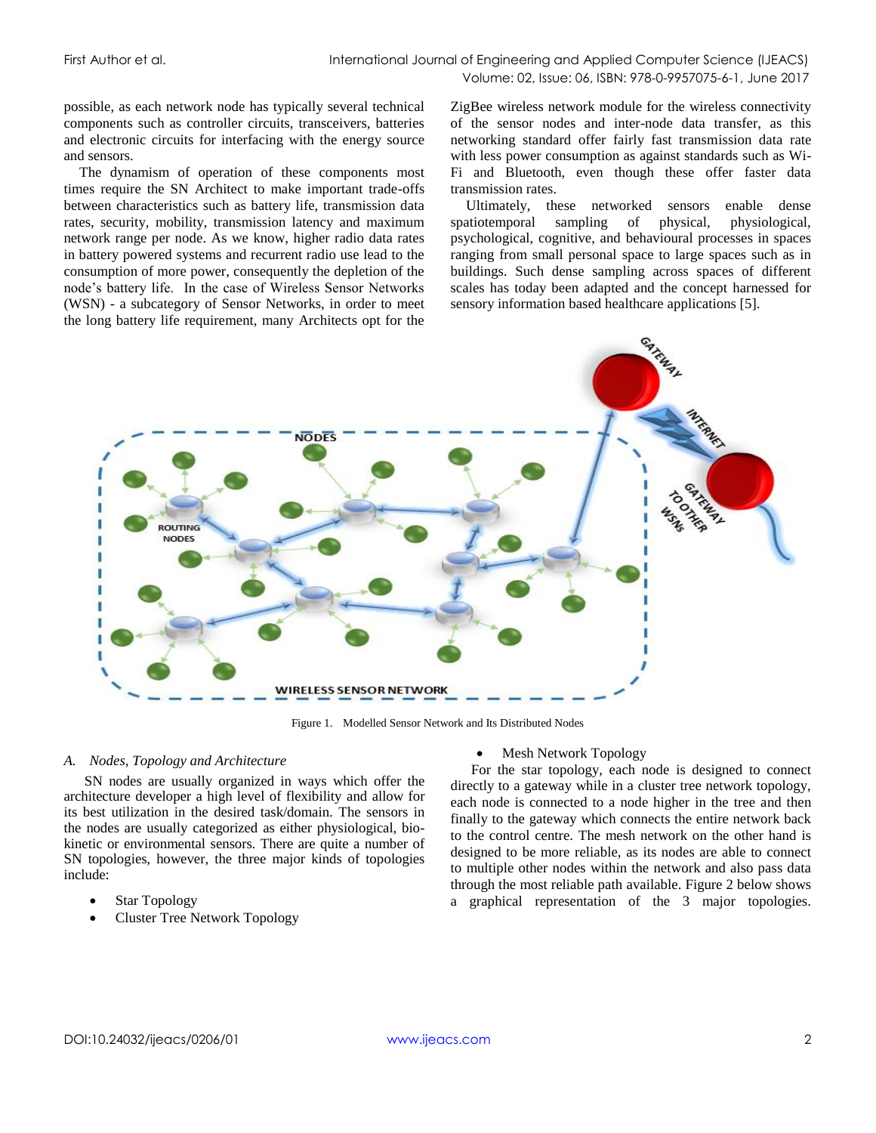possible, as each network node has typically several technical components such as controller circuits, transceivers, batteries and electronic circuits for interfacing with the energy source and sensors.

The dynamism of operation of these components most times require the SN Architect to make important trade-offs between characteristics such as battery life, transmission data rates, security, mobility, transmission latency and maximum network range per node. As we know, higher radio data rates in battery powered systems and recurrent radio use lead to the consumption of more power, consequently the depletion of the node's battery life. In the case of Wireless Sensor Networks (WSN) - a subcategory of Sensor Networks, in order to meet the long battery life requirement, many Architects opt for the

ZigBee wireless network module for the wireless connectivity of the sensor nodes and inter-node data transfer, as this networking standard offer fairly fast transmission data rate with less power consumption as against standards such as Wi-Fi and Bluetooth, even though these offer faster data transmission rates.

Ultimately, these networked sensors enable dense spatiotemporal sampling of physical, physiological, psychological, cognitive, and behavioural processes in spaces ranging from small personal space to large spaces such as in buildings. Such dense sampling across spaces of different scales has today been adapted and the concept harnessed for sensory information based healthcare applications [5].



Figure 1. Modelled Sensor Network and Its Distributed Nodes

#### *A. Nodes, Topology and Architecture*

SN nodes are usually organized in ways which offer the architecture developer a high level of flexibility and allow for its best utilization in the desired task/domain. The sensors in the nodes are usually categorized as either physiological, biokinetic or environmental sensors. There are quite a number of SN topologies, however, the three major kinds of topologies include:

- Star Topology
- Cluster Tree Network Topology

#### • Mesh Network Topology

For the star topology, each node is designed to connect directly to a gateway while in a cluster tree network topology, each node is connected to a node higher in the tree and then finally to the gateway which connects the entire network back to the control centre. The mesh network on the other hand is designed to be more reliable, as its nodes are able to connect to multiple other nodes within the network and also pass data through the most reliable path available. Figure 2 below shows a graphical representation of the 3 major topologies.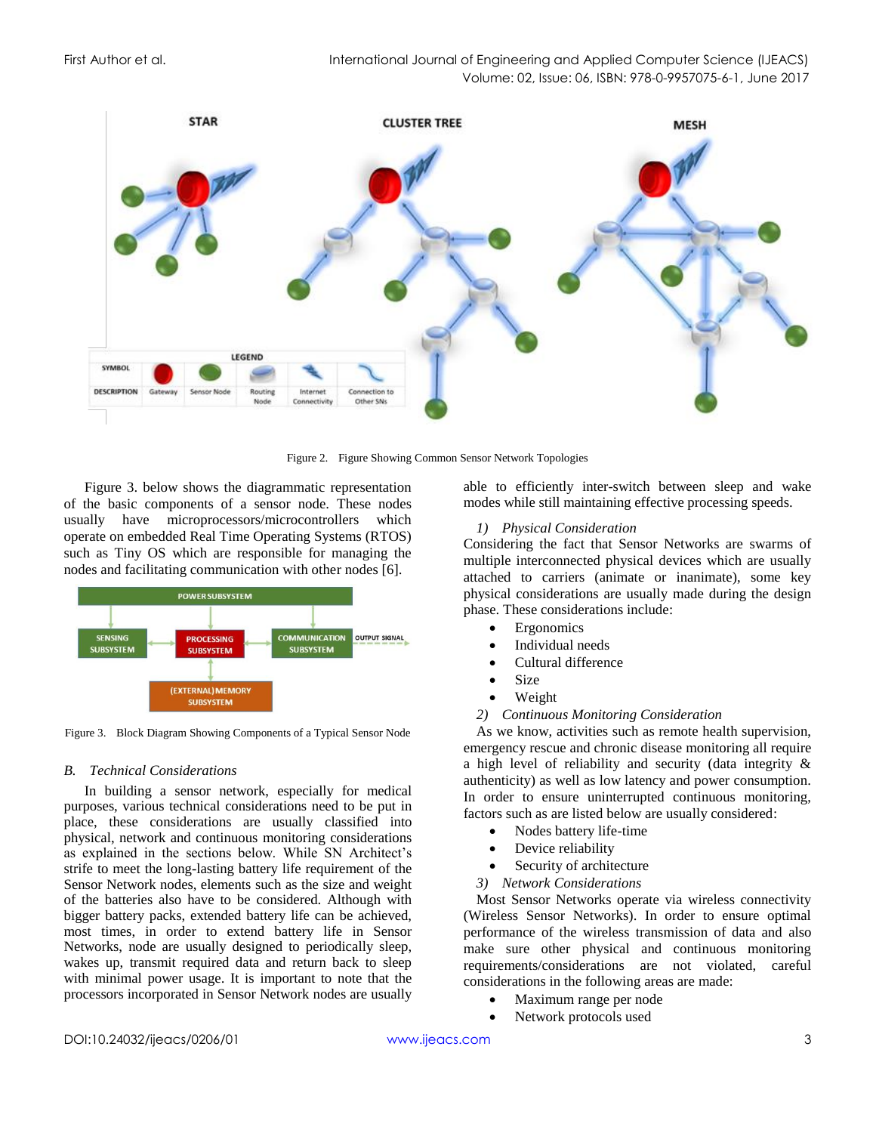

Figure 2. Figure Showing Common Sensor Network Topologies

Figure 3. below shows the diagrammatic representation of the basic components of a sensor node. These nodes usually have microprocessors/microcontrollers which operate on embedded Real Time Operating Systems (RTOS) such as Tiny OS which are responsible for managing the nodes and facilitating communication with other nodes [6].



Figure 3. Block Diagram Showing Components of a Typical Sensor Node

#### *B. Technical Considerations*

In building a sensor network, especially for medical purposes, various technical considerations need to be put in place, these considerations are usually classified into physical, network and continuous monitoring considerations as explained in the sections below. While SN Architect's strife to meet the long-lasting battery life requirement of the Sensor Network nodes, elements such as the size and weight of the batteries also have to be considered. Although with bigger battery packs, extended battery life can be achieved, most times, in order to extend battery life in Sensor Networks, node are usually designed to periodically sleep, wakes up, transmit required data and return back to sleep with minimal power usage. It is important to note that the processors incorporated in Sensor Network nodes are usually able to efficiently inter-switch between sleep and wake modes while still maintaining effective processing speeds.

#### *1) Physical Consideration*

Considering the fact that Sensor Networks are swarms of multiple interconnected physical devices which are usually attached to carriers (animate or inanimate), some key physical considerations are usually made during the design phase. These considerations include:

- **Ergonomics**
- Individual needs
- Cultural difference
- **Size**
- Weight
- *2) Continuous Monitoring Consideration*

As we know, activities such as remote health supervision, emergency rescue and chronic disease monitoring all require a high level of reliability and security (data integrity & authenticity) as well as low latency and power consumption. In order to ensure uninterrupted continuous monitoring, factors such as are listed below are usually considered:

- Nodes battery life-time
- Device reliability
- Security of architecture
- *3) Network Considerations*

Most Sensor Networks operate via wireless connectivity (Wireless Sensor Networks). In order to ensure optimal performance of the wireless transmission of data and also make sure other physical and continuous monitoring requirements/considerations are not violated, careful considerations in the following areas are made:

- Maximum range per node
- Network protocols used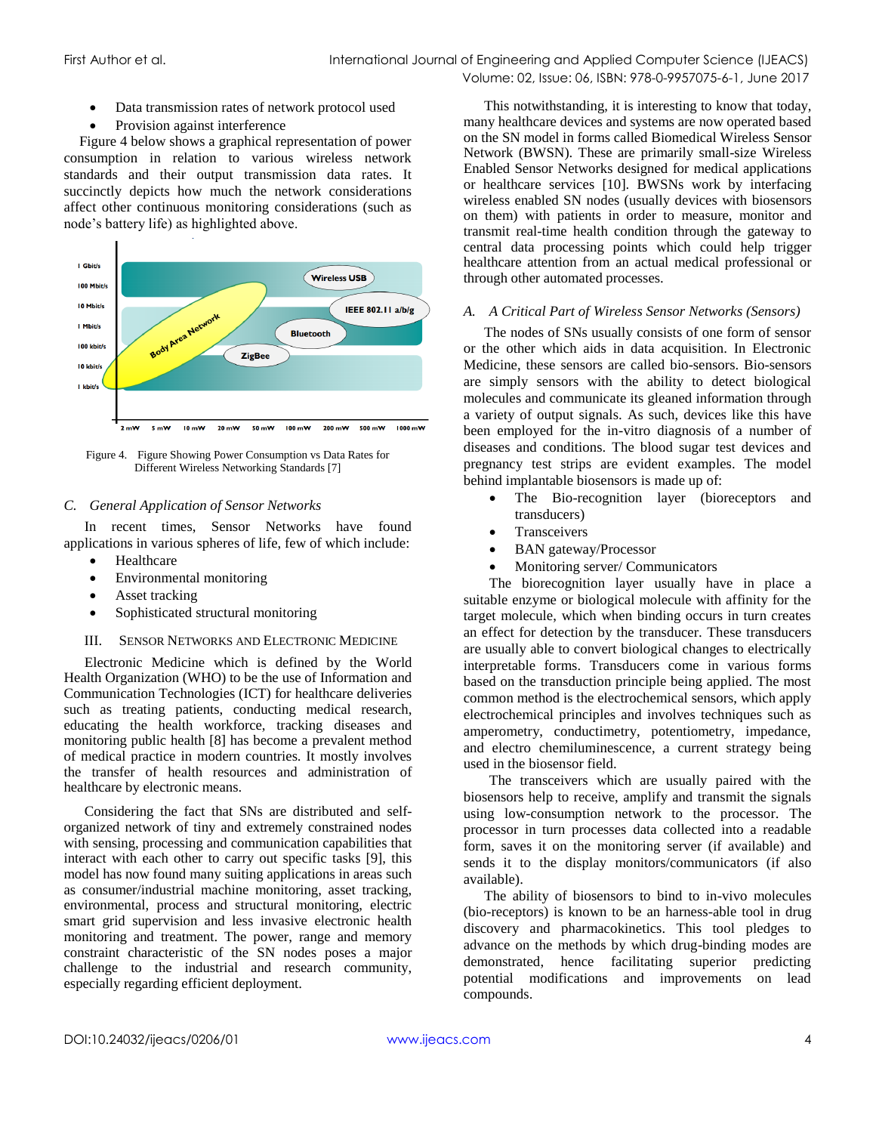- Data transmission rates of network protocol used
- Provision against interference

Figure 4 below shows a graphical representation of power consumption in relation to various wireless network standards and their output transmission data rates. It succinctly depicts how much the network considerations affect other continuous monitoring considerations (such as node's battery life) as highlighted above.



Figure 4. Figure Showing Power Consumption vs Data Rates for Different Wireless Networking Standards [7]

## *C. General Application of Sensor Networks*

In recent times, Sensor Networks have found applications in various spheres of life, few of which include:

- Healthcare
- Environmental monitoring
- Asset tracking
- Sophisticated structural monitoring

## III. SENSOR NETWORKS AND ELECTRONIC MEDICINE

Electronic Medicine which is defined by the World Health Organization (WHO) to be the use of Information and Communication Technologies (ICT) for healthcare deliveries such as treating patients, conducting medical research, educating the health workforce, tracking diseases and monitoring public health [8] has become a prevalent method of medical practice in modern countries. It mostly involves the transfer of health resources and administration of healthcare by electronic means.

Considering the fact that SNs are distributed and selforganized network of tiny and extremely constrained nodes with sensing, processing and communication capabilities that interact with each other to carry out specific tasks [9], this model has now found many suiting applications in areas such as consumer/industrial machine monitoring, asset tracking, environmental, process and structural monitoring, electric smart grid supervision and less invasive electronic health monitoring and treatment. The power, range and memory constraint characteristic of the SN nodes poses a major challenge to the industrial and research community, especially regarding efficient deployment.

This notwithstanding, it is interesting to know that today, many healthcare devices and systems are now operated based on the SN model in forms called Biomedical Wireless Sensor Network (BWSN). These are primarily small-size Wireless Enabled Sensor Networks designed for medical applications or healthcare services [10]. BWSNs work by interfacing wireless enabled SN nodes (usually devices with biosensors on them) with patients in order to measure, monitor and transmit real-time health condition through the gateway to central data processing points which could help trigger healthcare attention from an actual medical professional or through other automated processes.

## *A. A Critical Part of Wireless Sensor Networks (Sensors)*

The nodes of SNs usually consists of one form of sensor or the other which aids in data acquisition. In Electronic Medicine, these sensors are called bio-sensors. Bio-sensors are simply sensors with the ability to detect biological molecules and communicate its gleaned information through a variety of output signals. As such, devices like this have been employed for the in-vitro diagnosis of a number of diseases and conditions. The blood sugar test devices and pregnancy test strips are evident examples. The model behind implantable biosensors is made up of:

- The Bio-recognition layer (bioreceptors and transducers)
- **Transceivers**
- BAN gateway/Processor
- Monitoring server/ Communicators

The biorecognition layer usually have in place a suitable enzyme or biological molecule with affinity for the target molecule, which when binding occurs in turn creates an effect for detection by the transducer. These transducers are usually able to convert biological changes to electrically interpretable forms. Transducers come in various forms based on the transduction principle being applied. The most common method is the electrochemical sensors, which apply electrochemical principles and involves techniques such as amperometry, conductimetry, potentiometry, impedance, and electro chemiluminescence, a current strategy being used in the biosensor field.

The transceivers which are usually paired with the biosensors help to receive, amplify and transmit the signals using low-consumption network to the processor. The processor in turn processes data collected into a readable form, saves it on the monitoring server (if available) and sends it to the display monitors/communicators (if also available).

The ability of biosensors to bind to in-vivo molecules (bio-receptors) is known to be an harness-able tool in drug discovery and pharmacokinetics. This tool pledges to advance on the methods by which drug-binding modes are demonstrated, hence facilitating superior predicting potential modifications and improvements on lead compounds.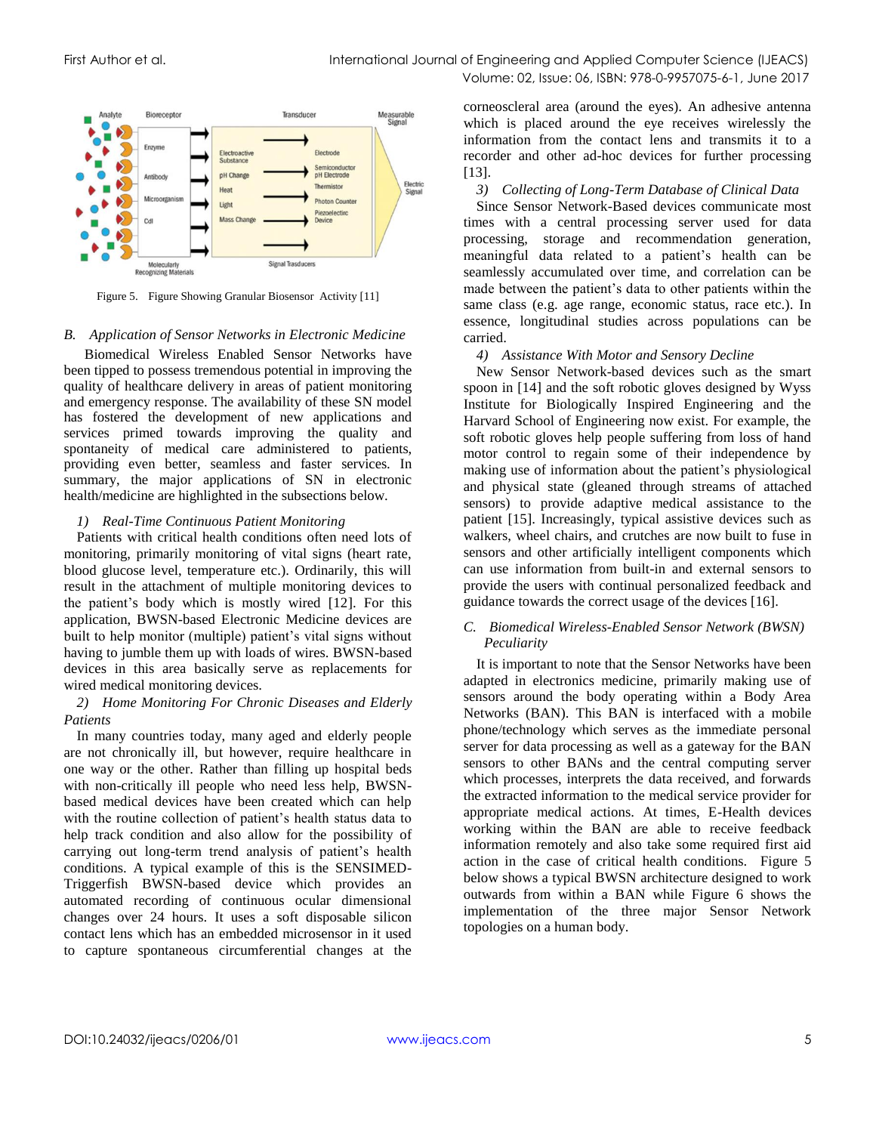

Figure 5. Figure Showing Granular Biosensor Activity [11]

#### *B. Application of Sensor Networks in Electronic Medicine*

Biomedical Wireless Enabled Sensor Networks have been tipped to possess tremendous potential in improving the quality of healthcare delivery in areas of patient monitoring and emergency response. The availability of these SN model has fostered the development of new applications and services primed towards improving the quality and spontaneity of medical care administered to patients, providing even better, seamless and faster services. In summary, the major applications of SN in electronic health/medicine are highlighted in the subsections below.

## *1) Real-Time Continuous Patient Monitoring*

Patients with critical health conditions often need lots of monitoring, primarily monitoring of vital signs (heart rate, blood glucose level, temperature etc.). Ordinarily, this will result in the attachment of multiple monitoring devices to the patient's body which is mostly wired [12]. For this application, BWSN-based Electronic Medicine devices are built to help monitor (multiple) patient's vital signs without having to jumble them up with loads of wires. BWSN-based devices in this area basically serve as replacements for wired medical monitoring devices.

#### *2) Home Monitoring For Chronic Diseases and Elderly Patients*

In many countries today, many aged and elderly people are not chronically ill, but however, require healthcare in one way or the other. Rather than filling up hospital beds with non-critically ill people who need less help, BWSNbased medical devices have been created which can help with the routine collection of patient's health status data to help track condition and also allow for the possibility of carrying out long-term trend analysis of patient's health conditions. A typical example of this is the SENSIMED-Triggerfish BWSN-based device which provides an automated recording of continuous ocular dimensional changes over 24 hours. It uses a soft disposable silicon contact lens which has an embedded microsensor in it used to capture spontaneous circumferential changes at the

corneoscleral area (around the eyes). An adhesive antenna which is placed around the eye receives wirelessly the information from the contact lens and transmits it to a recorder and other ad-hoc devices for further processing [13].

## *3) Collecting of Long-Term Database of Clinical Data*

Since Sensor Network-Based devices communicate most times with a central processing server used for data processing, storage and recommendation generation, meaningful data related to a patient's health can be seamlessly accumulated over time, and correlation can be made between the patient's data to other patients within the same class (e.g. age range, economic status, race etc.). In essence, longitudinal studies across populations can be carried.

## *4) Assistance With Motor and Sensory Decline*

New Sensor Network-based devices such as the smart spoon in [14] and the soft robotic gloves designed by Wyss Institute for Biologically Inspired Engineering and the Harvard School of Engineering now exist. For example, the soft robotic gloves help people suffering from loss of hand motor control to regain some of their independence by making use of information about the patient's physiological and physical state (gleaned through streams of attached sensors) to provide adaptive medical assistance to the patient [15]. Increasingly, typical assistive devices such as walkers, wheel chairs, and crutches are now built to fuse in sensors and other artificially intelligent components which can use information from built-in and external sensors to provide the users with continual personalized feedback and guidance towards the correct usage of the devices [16].

## *C. Biomedical Wireless-Enabled Sensor Network (BWSN) Peculiarity*

It is important to note that the Sensor Networks have been adapted in electronics medicine, primarily making use of sensors around the body operating within a Body Area Networks (BAN). This BAN is interfaced with a mobile phone/technology which serves as the immediate personal server for data processing as well as a gateway for the BAN sensors to other BANs and the central computing server which processes, interprets the data received, and forwards the extracted information to the medical service provider for appropriate medical actions. At times, E-Health devices working within the BAN are able to receive feedback information remotely and also take some required first aid action in the case of critical health conditions. Figure 5 below shows a typical BWSN architecture designed to work outwards from within a BAN while Figure 6 shows the implementation of the three major Sensor Network topologies on a human body.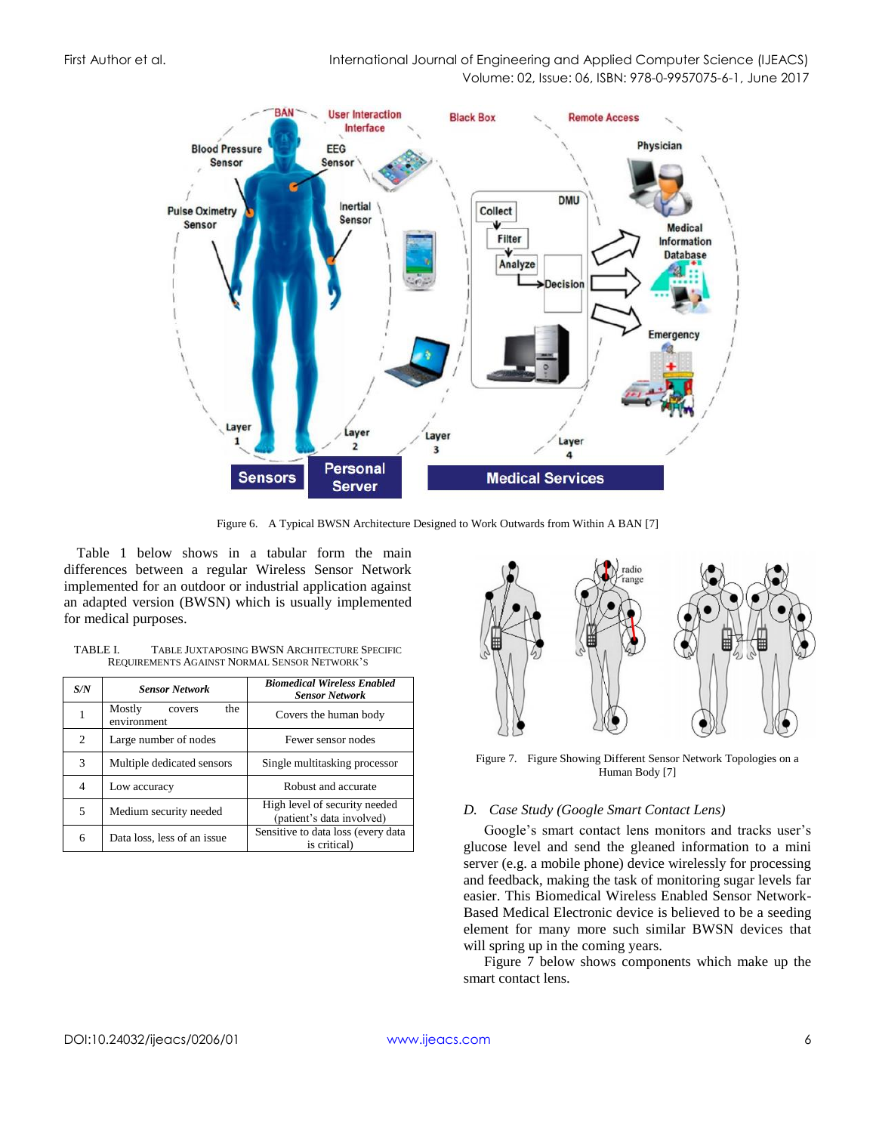First Author et al. International Journal of Engineering and Applied Computer Science (IJEACS) Volume: 02, Issue: 06, ISBN: 978-0-9957075-6-1, June 2017



Figure 6. A Typical BWSN Architecture Designed to Work Outwards from Within A BAN [7]

Table 1 below shows in a tabular form the main differences between a regular Wireless Sensor Network implemented for an outdoor or industrial application against an adapted version (BWSN) which is usually implemented for medical purposes.

| TABLE L | TABLE JUXTAPOSING BWSN ARCHITECTURE SPECIFIC |
|---------|----------------------------------------------|
|         | REQUIREMENTS AGAINST NORMAL SENSOR NETWORK'S |

| S/N            | <b>Sensor Network</b>                  | <b>Biomedical Wireless Enabled</b><br><b>Sensor Network</b> |
|----------------|----------------------------------------|-------------------------------------------------------------|
| 1              | Mostly<br>the<br>covers<br>environment | Covers the human body                                       |
| $\overline{c}$ | Large number of nodes                  | Fewer sensor nodes                                          |
| 3              | Multiple dedicated sensors             | Single multitasking processor                               |
| 4              | Low accuracy                           | Robust and accurate                                         |
| 5              | Medium security needed                 | High level of security needed<br>(patient's data involved)  |
| 6              | Data loss, less of an issue            | Sensitive to data loss (every data<br>is critical)          |



Figure 7. Figure Showing Different Sensor Network Topologies on a Human Body [7]

# *D. Case Study (Google Smart Contact Lens)*

Google's smart contact lens monitors and tracks user's glucose level and send the gleaned information to a mini server (e.g. a mobile phone) device wirelessly for processing and feedback, making the task of monitoring sugar levels far easier. This Biomedical Wireless Enabled Sensor Network-Based Medical Electronic device is believed to be a seeding element for many more such similar BWSN devices that will spring up in the coming years.

Figure 7 below shows components which make up the smart contact lens.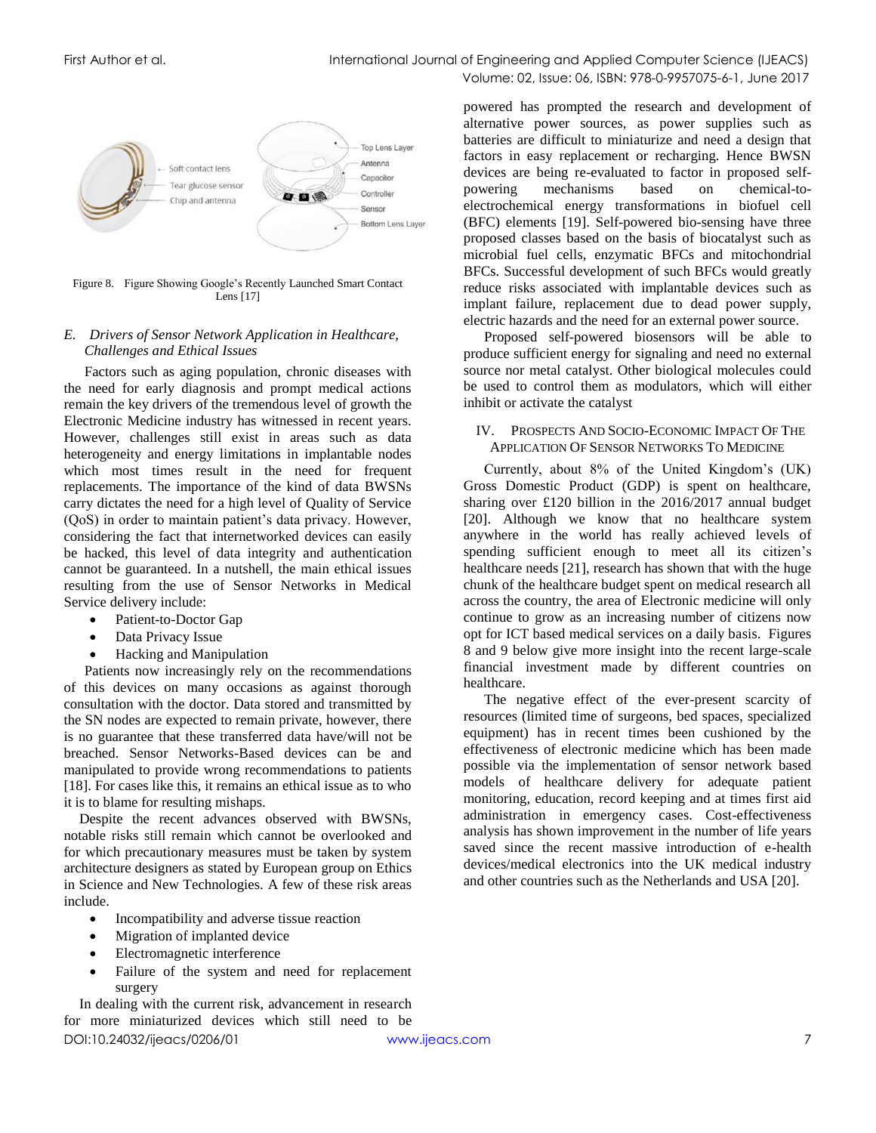

Figure 8. Figure Showing Google's Recently Launched Smart Contact Lens [17]

# *E. Drivers of Sensor Network Application in Healthcare, Challenges and Ethical Issues*

Factors such as aging population, chronic diseases with the need for early diagnosis and prompt medical actions remain the key drivers of the tremendous level of growth the Electronic Medicine industry has witnessed in recent years. However, challenges still exist in areas such as data heterogeneity and energy limitations in implantable nodes which most times result in the need for frequent replacements. The importance of the kind of data BWSNs carry dictates the need for a high level of Quality of Service (QoS) in order to maintain patient's data privacy. However, considering the fact that internetworked devices can easily be hacked, this level of data integrity and authentication cannot be guaranteed. In a nutshell, the main ethical issues resulting from the use of Sensor Networks in Medical Service delivery include:

- Patient-to-Doctor Gap
- Data Privacy Issue
- Hacking and Manipulation

Patients now increasingly rely on the recommendations of this devices on many occasions as against thorough consultation with the doctor. Data stored and transmitted by the SN nodes are expected to remain private, however, there is no guarantee that these transferred data have/will not be breached. Sensor Networks-Based devices can be and manipulated to provide wrong recommendations to patients [18]. For cases like this, it remains an ethical issue as to who it is to blame for resulting mishaps.

Despite the recent advances observed with BWSNs, notable risks still remain which cannot be overlooked and for which precautionary measures must be taken by system architecture designers as stated by European group on Ethics in Science and New Technologies. A few of these risk areas include.

- Incompatibility and adverse tissue reaction
- Migration of implanted device
- Electromagnetic interference
- Failure of the system and need for replacement surgery

DOI:10.24032/ijeacs/0206/01 [www.ijeacs.com](http://ijeacs.com/) 7 In dealing with the current risk, advancement in research for more miniaturized devices which still need to be

powered has prompted the research and development of alternative power sources, as power supplies such as batteries are difficult to miniaturize and need a design that factors in easy replacement or recharging. Hence BWSN devices are being re-evaluated to factor in proposed selfpowering mechanisms based on chemical-toelectrochemical energy transformations in biofuel cell (BFC) elements [19]. Self-powered bio-sensing have three proposed classes based on the basis of biocatalyst such as microbial fuel cells, enzymatic BFCs and mitochondrial BFCs. Successful development of such BFCs would greatly reduce risks associated with implantable devices such as implant failure, replacement due to dead power supply, electric hazards and the need for an external power source.

Proposed self-powered biosensors will be able to produce sufficient energy for signaling and need no external source nor metal catalyst. Other biological molecules could be used to control them as modulators, which will either inhibit or activate the catalyst

#### IV. PROSPECTS AND SOCIO-ECONOMIC IMPACT OF THE APPLICATION OF SENSOR NETWORKS TO MEDICINE

Currently, about 8% of the United Kingdom's (UK) Gross Domestic Product (GDP) is spent on healthcare, sharing over £120 billion in the 2016/2017 annual budget [20]. Although we know that no healthcare system anywhere in the world has really achieved levels of spending sufficient enough to meet all its citizen's healthcare needs [21], research has shown that with the huge chunk of the healthcare budget spent on medical research all across the country, the area of Electronic medicine will only continue to grow as an increasing number of citizens now opt for ICT based medical services on a daily basis. Figures 8 and 9 below give more insight into the recent large-scale financial investment made by different countries on healthcare.

The negative effect of the ever-present scarcity of resources (limited time of surgeons, bed spaces, specialized equipment) has in recent times been cushioned by the effectiveness of electronic medicine which has been made possible via the implementation of sensor network based models of healthcare delivery for adequate patient monitoring, education, record keeping and at times first aid administration in emergency cases. Cost-effectiveness analysis has shown improvement in the number of life years saved since the recent massive introduction of e-health devices/medical electronics into the UK medical industry and other countries such as the Netherlands and USA [20].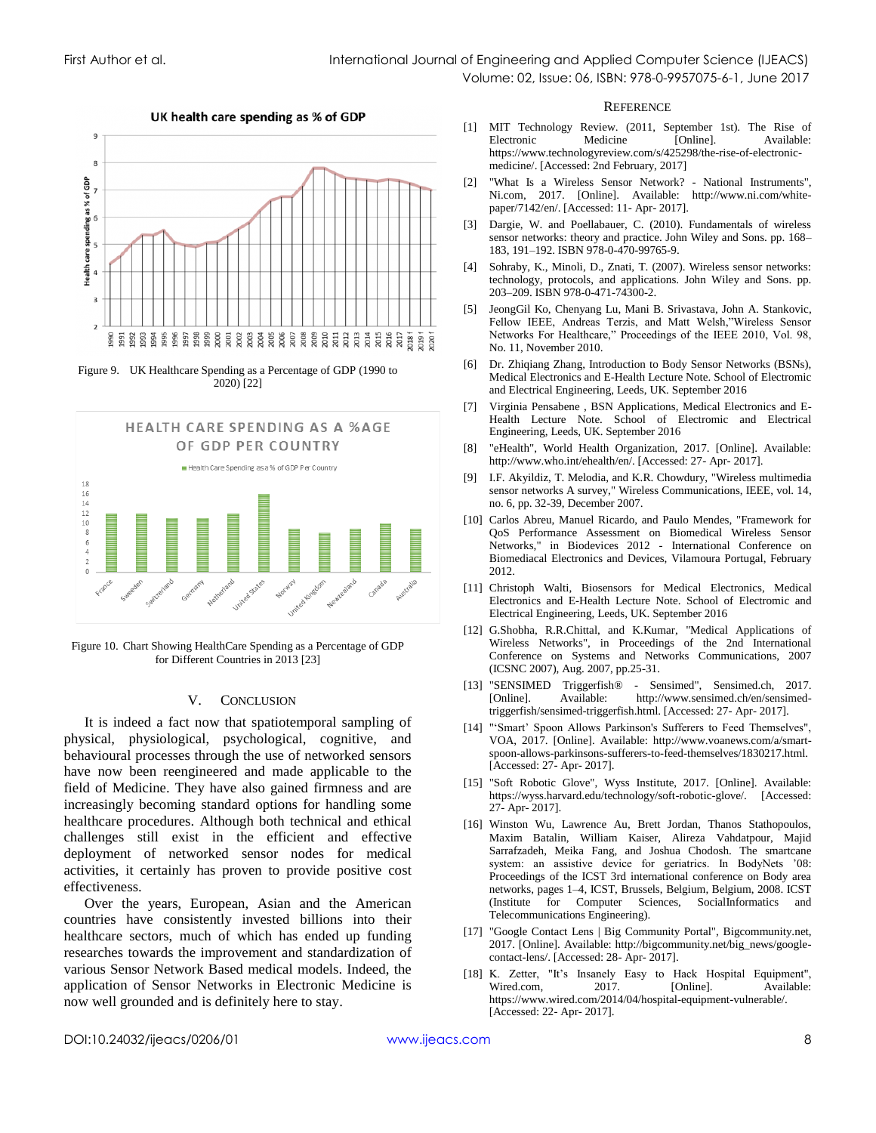

Figure 9. UK Healthcare Spending as a Percentage of GDP (1990 to 2020) [22]



Figure 10. Chart Showing HealthCare Spending as a Percentage of GDP for Different Countries in 2013 [23]

#### V. CONCLUSION

It is indeed a fact now that spatiotemporal sampling of physical, physiological, psychological, cognitive, and behavioural processes through the use of networked sensors have now been reengineered and made applicable to the field of Medicine. They have also gained firmness and are increasingly becoming standard options for handling some healthcare procedures. Although both technical and ethical challenges still exist in the efficient and effective deployment of networked sensor nodes for medical activities, it certainly has proven to provide positive cost effectiveness.

Over the years, European, Asian and the American countries have consistently invested billions into their healthcare sectors, much of which has ended up funding researches towards the improvement and standardization of various Sensor Network Based medical models. Indeed, the application of Sensor Networks in Electronic Medicine is now well grounded and is definitely here to stay.

#### **REFERENCE**

- [1] MIT Technology Review. (2011, September 1st). The Rise of Available: https://www.technologyreview.com/s/425298/the-rise-of-electronicmedicine/. [Accessed: 2nd February, 2017]
- [2] "What Is a Wireless Sensor Network? National Instruments", Ni.com, 2017. [Online]. Available: http://www.ni.com/whitepaper/7142/en/. [Accessed: 11- Apr- 2017].
- [3] Dargie, W. and Poellabauer, C. (2010). Fundamentals of wireless sensor networks: theory and practice. John Wiley and Sons. pp. 168– 183, 191–192. ISBN 978-0-470-99765-9.
- [4] Sohraby, K., Minoli, D., Znati, T. (2007). Wireless sensor networks: technology, protocols, and applications. John Wiley and Sons. pp. 203–209. ISBN 978-0-471-74300-2.
- [5] JeongGil Ko, Chenyang Lu, Mani B. Srivastava, John A. Stankovic, Fellow IEEE, Andreas Terzis, and Matt Welsh,"Wireless Sensor Networks For Healthcare," Proceedings of the IEEE 2010, Vol. 98, No. 11, November 2010.
- [6] Dr. Zhiqiang Zhang, Introduction to Body Sensor Networks (BSNs), Medical Electronics and E-Health Lecture Note. School of Electromic and Electrical Engineering, Leeds, UK. September 2016
- [7] Virginia Pensabene , BSN Applications, Medical Electronics and E-Health Lecture Note. School of Electromic and Electrical Engineering, Leeds, UK. September 2016
- "eHealth", World Health Organization, 2017. [Online]. Available: http://www.who.int/ehealth/en/. [Accessed: 27- Apr- 2017].
- [9] I.F. Akyildiz, T. Melodia, and K.R. Chowdury, "Wireless multimedia sensor networks A survey," Wireless Communications, IEEE, vol. 14, no. 6, pp. 32-39, December 2007.
- [10] Carlos Abreu, Manuel Ricardo, and Paulo Mendes, "Framework for QoS Performance Assessment on Biomedical Wireless Sensor Networks," in Biodevices 2012 - International Conference on Biomediacal Electronics and Devices, Vilamoura Portugal, February 2012.
- [11] Christoph Walti, Biosensors for Medical Electronics, Medical Electronics and E-Health Lecture Note. School of Electromic and Electrical Engineering, Leeds, UK. September 2016
- [12] G.Shobha, R.R.Chittal, and K.Kumar, "Medical Applications of Wireless Networks", in Proceedings of the 2nd International Conference on Systems and Networks Communications, 2007 (ICSNC 2007), Aug. 2007, pp.25-31.
- [13] "SENSIMED Triggerfish® Sensimed", Sensimed.ch, 2017. http://www.sensimed.ch/en/sensimedtriggerfish/sensimed-triggerfish.html. [Accessed: 27- Apr- 2017].
- [14] "'Smart' Spoon Allows Parkinson's Sufferers to Feed Themselves", VOA, 2017. [Online]. Available: http://www.voanews.com/a/smartspoon-allows-parkinsons-sufferers-to-feed-themselves/1830217.html. [Accessed: 27- Apr- 2017].
- [15] "Soft Robotic Glove", Wyss Institute, 2017. [Online]. Available: https://wyss.harvard.edu/technology/soft-robotic-glove/. [Accessed: 27- Apr- 2017].
- [16] Winston Wu, Lawrence Au, Brett Jordan, Thanos Stathopoulos, Maxim Batalin, William Kaiser, Alireza Vahdatpour, Majid Sarrafzadeh, Meika Fang, and Joshua Chodosh. The smartcane system: an assistive device for geriatrics. In BodyNets '08: Proceedings of the ICST 3rd international conference on Body area networks, pages 1–4, ICST, Brussels, Belgium, Belgium, 2008. ICST (Institute for Computer Sciences, SocialInformatics and Telecommunications Engineering).
- [17] "Google Contact Lens | Big Community Portal", Bigcommunity.net, 2017. [Online]. Available: http://bigcommunity.net/big\_news/googlecontact-lens/. [Accessed: 28- Apr- 2017].
- [18] K. Zetter, "It's Insanely Easy to Hack Hospital Equipment", Wired.com. 2017. **[Online].** Available: https://www.wired.com/2014/04/hospital-equipment-vulnerable/. [Accessed: 22- Apr- 2017].